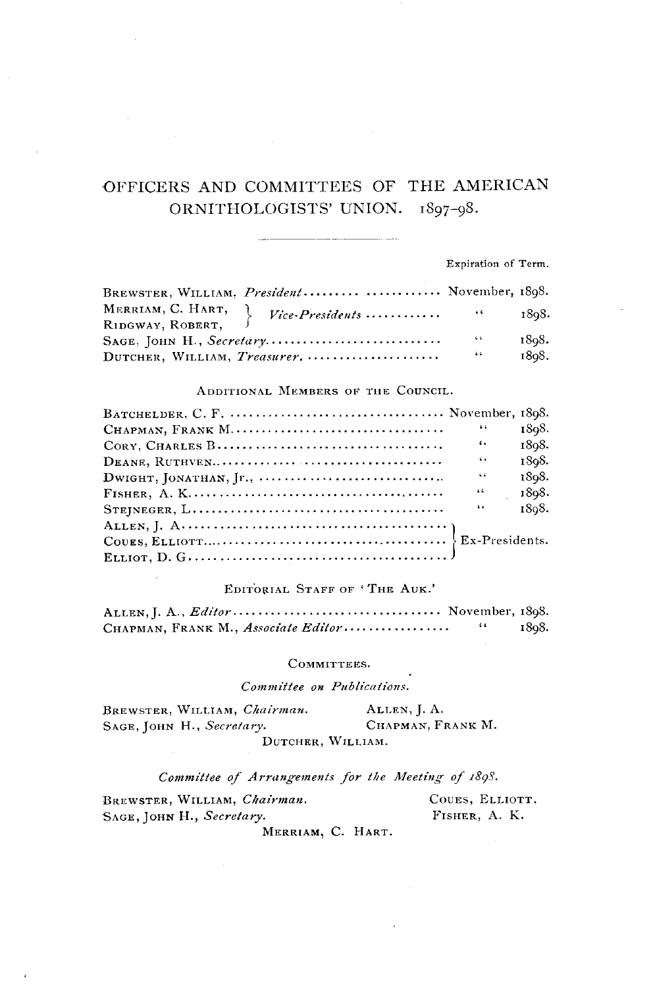# **OFFICERS AND COMMITTEES OF THE AMERICAN**  ORNITHOLOGISTS' UNION.  $1897-98$ .

**Expiration of Term.** 

| BREWSTER, WILLIAM, President  November, 1898. |                 |       |
|-----------------------------------------------|-----------------|-------|
|                                               |                 | 1808. |
|                                               | $\sim$ 6.4 $\,$ | 1808. |
| DUTCHER, WILLIAM, Treasurer,                  | $-66$           | 1808. |

#### ADDITIONAL MEMBERS OF THE COUNCIL.

| 64            | 1898. |
|---------------|-------|
| 6.6           | 1898. |
| 6.6           | 1808. |
| $\sim$ $\sim$ | 1898. |
| $\pm 6$       | 1898. |
| 6.6           | 1808. |
|               |       |
|               |       |
|               |       |

#### **EDITbgIAL STAFF OF ' THE AUK.'**

| CHAPMAN, FRANK M., Associate Editor | 64 | 1898. |
|-------------------------------------|----|-------|

#### **COMMITTEES.**

**Committee on Publications.** 

| BREWSTER, WILLIAM, Chairman. | ALLEN, J. A.      |
|------------------------------|-------------------|
| SAGE, JOHN H., Secretary.    | CHAPMAN, FRANK M. |
| DUTCHER, WILLIAM.            |                   |

Committee of Arrangements for the Meeting of 1898.

| BREWSTER, WILLIAM, Chairman.                               | COUES, ELLIOTT, |
|------------------------------------------------------------|-----------------|
| SAGE, JOHN H., Secretary.                                  | FISHER, A. K.   |
| $M_{\text{max}}$ $\sim$ $\sim$ $\sim$ $\sim$ $\sim$ $\sim$ |                 |

**MERRIAM• C. HART.**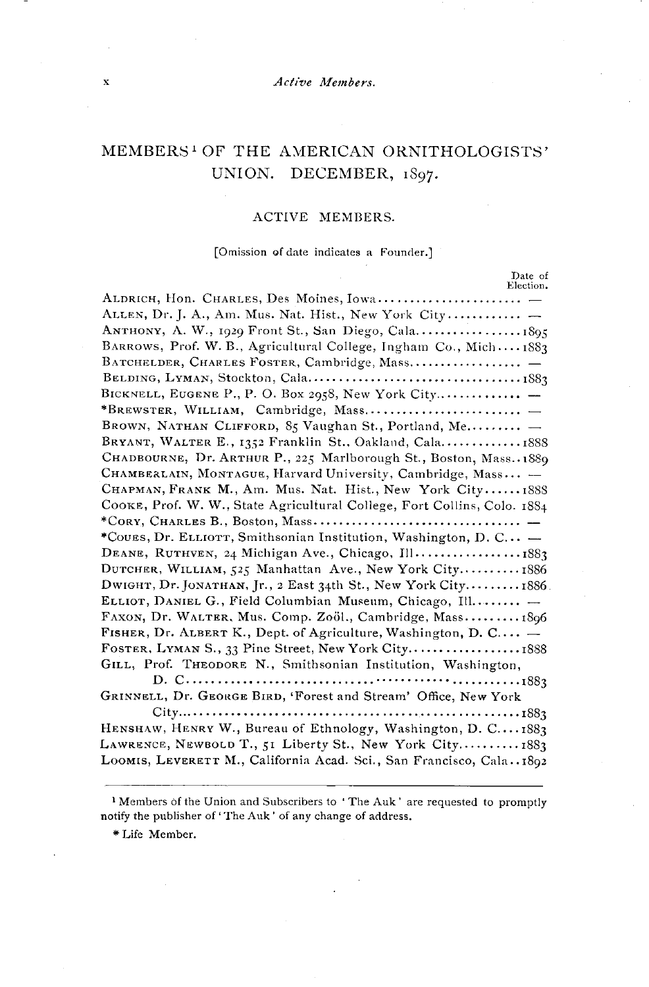#### **x**  $\overline{\phantom{a}}$   $\overline{\phantom{a}}$   $\overline{\phantom{a}}$   $\overline{\phantom{a}}$   $\overline{\phantom{a}}$   $\overline{\phantom{a}}$   $\overline{\phantom{a}}$   $\overline{\phantom{a}}$   $\overline{\phantom{a}}$   $\overline{\phantom{a}}$   $\overline{\phantom{a}}$   $\overline{\phantom{a}}$   $\overline{\phantom{a}}$   $\overline{\phantom{a}}$   $\overline{\phantom{a}}$   $\overline{\phantom{a}}$   $\overline{\phantom{a}}$   $\overline{\phantom{a}}$   $\$

# **MEMBERS • OF' THE AMERICAN ORNITHOLOGISTS'**  UNION. DECEMBER, 1897.

#### **ACTIVE MEMBERS.**

#### **[Omission of date indicates a Founder.]**

| Date of<br>Election.                                                     |
|--------------------------------------------------------------------------|
|                                                                          |
| ALLEN, Dr. J. A., Am. Mus. Nat. Hist., New York City                     |
|                                                                          |
| BARROWS, Prof. W. B., Agricultural College, Ingham Co., Mich 1883        |
|                                                                          |
|                                                                          |
|                                                                          |
|                                                                          |
| BROWN, NATHAN CLIFFORD, 85 Vaughan St., Portland, Me                     |
| BRYANT, WALTER E., 1352 Franklin St., Oakland, Cala1888                  |
| CHADBOURNE, Dr. ARTHUR P., 225 Marlborough St., Boston, Mass. 1889       |
| CHAMBERLAIN, MONTAGUE, Harvard University, Cambridge, Mass -             |
| CHAPMAN, FRANK M., Am. Mus. Nat. Hist., New York City1888                |
| COOKE, Prof. W. W., State Agricultural College, Fort Collins, Colo. 1884 |
|                                                                          |
| *Cours, Dr. ELLIOTT, Smithsonian Institution, Washington, D. C -         |
| DEANE, RUTHVEN, 24 Michigan Ave., Chicago, Ill1883                       |
| DUTCHER, WILLIAM, 525 Manhattan Ave., New York City 1886                 |
| DWIGHT, Dr. JONATHAN, Jr., 2 East 34th St., New York City1886.           |
| ELLIOT, DANIEL G., Field Columbian Museum, Chicago, Ill                  |
| FAXON, Dr. WALTER, Mus. Comp. Zoöl., Cambridge, Mass1896                 |
| FISHER, Dr. ALBERT K., Dept. of Agriculture, Washington, D. C $-$        |
| FOSTER, LYMAN S., 33 Pine Street, New York City1888                      |
| GILL, Prof. THEODORE N., Smithsonian Institution, Washington,            |
|                                                                          |
| GRINNELL, Dr. GEORGE BIRD, 'Forest and Stream' Office, New York          |
|                                                                          |
| HENSHAW, HENRY W., Bureau of Ethnology, Washington, D. C1883             |
| LAWRENCE, NEWBOLD T., 51 Liberty St., New York City1883                  |
| LOOMIS, LEVERETT M., California Acad. Sci., San Francisco, Cala1892      |
|                                                                          |

**\* Life Member.** 

<sup>&</sup>lt;sup>1</sup> Members of the Union and Subscribers to 'The Auk' are requested to promptly **notify the publisher of' The Auk ' of any change of address.**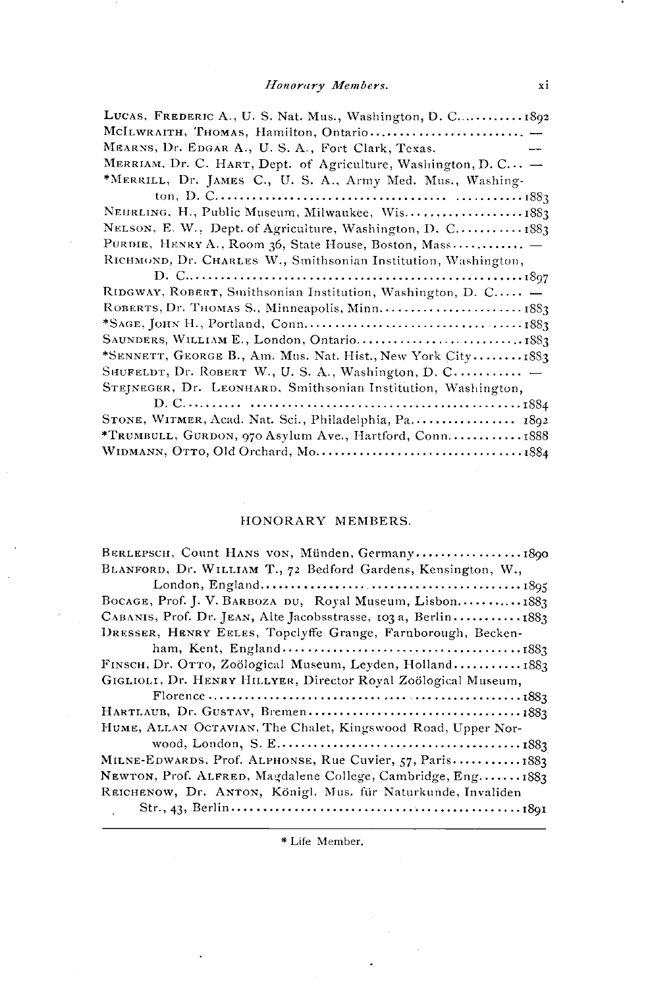| LUCAS, FREDERIC A., U. S. Nat. Mus., Washington, D. C 1892     |
|----------------------------------------------------------------|
|                                                                |
| MEARNS, Dr. EDGAR A., U. S. A., Fort Clark, Texas.             |
| MERRIAM, Dr. C. HART, Dept. of Agriculture, Washington, D. C - |
| *MERRILL, Dr. JAMES C., U. S. A., Army Med. Mus., Washing-     |
|                                                                |
| NEHRLING, H., Public Museum, Milwaukee, Wis1883                |
| NELSON, E. W., Dept. of Agriculture, Washington, D. C 1883     |
| PURDIE, HENRY A., Room 36, State House, Boston, Mass           |
| RICHMOND, Dr. CHARLES W., Smithsonian Institution, Washington, |
|                                                                |
| RIDGWAY, ROBERT, Smithsonian Institution, Washington, D. C -   |
|                                                                |
|                                                                |
|                                                                |
| *SENNETT, GEORGE B., Am. Mus. Nat. Hist., New York City1883    |
| SHUFELDT, Dr. ROBERT W., U.S. A., Washington, D. C             |
| STEINEGER, Dr. LEONHARD, Smithsonian Institution, Washington,  |
|                                                                |
| STONE, WITMER, Acad. Nat. Sci., Philadelphia, Pa 1892          |
| *TRUMBULL, GURDON, 970 Asylum Ave., Hartford, Conn1888         |
|                                                                |

### HONORARY MEMBERS.

| BERLEPSCH, Count HANS von, Münden, Germany1890                 |
|----------------------------------------------------------------|
| BLANFORD, Dr. WILLIAM T., 72 Bedford Gardens, Kensington, W.,  |
|                                                                |
| BOCAGE, Prof. J. V. BARBOZA DU, Royal Museum, Lisbon1883       |
| CABANIS, Prof. Dr. JEAN, Alte Jacobsstrasse, 103 a, Berlin1883 |
| DRESSER, HENRY EELES, Topclyffe Grange, Farnborough, Becken-   |
|                                                                |
| FINSCH, Dr. OTTO, Zoölogical Museum, Leyden, Holland1883       |
| GIGLIOLI, Dr. HENRY HILLYER, Director Royal Zoölogical Museum, |
|                                                                |
|                                                                |
| HUME, ALLAN OCTAVIAN, The Chalet, Kingswood Road, Upper Nor-   |
|                                                                |
| MILNE-EDWARDS, Prof. ALPHONSE, Rue Cuvier, 57, Paris 1883      |
| NEWTON, Prof. ALFRED, Magdalene College, Cambridge, Eng1883    |
| REICHENOW, Dr. ANTON, Königl. Mus. für Naturkunde, Invaliden   |
|                                                                |

\* Life Member.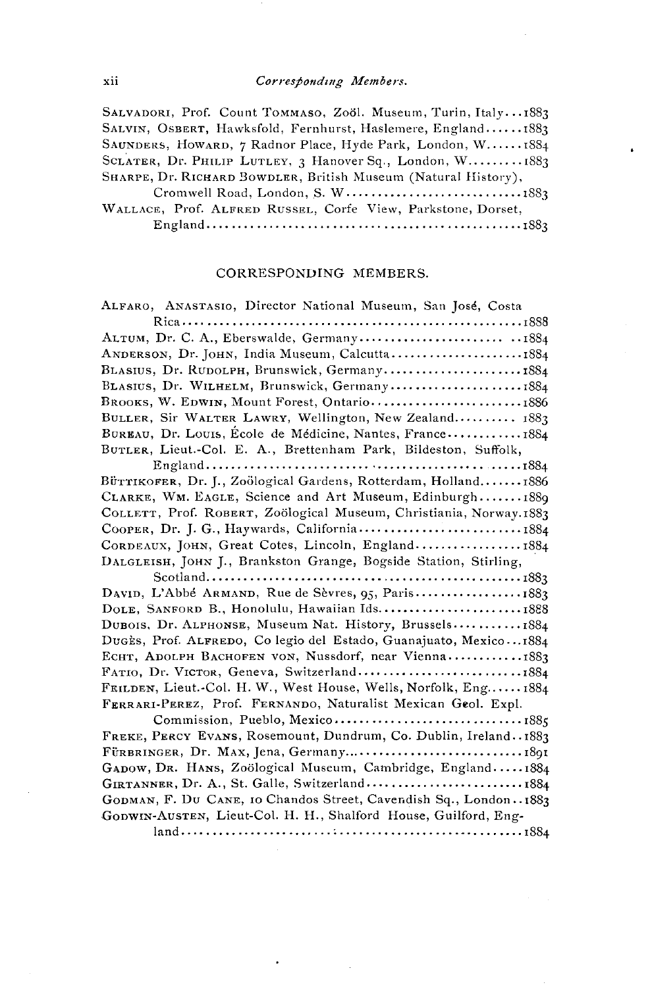$X$ ii **Corresponding Members.** 

**SALVADORI, Prof. Count TOMMASO, Zo61. Museum, Turin, Italy. -.I883**  SALVIN, OSBERT, Hawksfold, Fernhurst, Haslemere, England...... 1883 SAUNDERS, HOWARD, 7 Radnor Place, Hyde Park, London, W...... 1884 SCLATER, Dr. PHILIP LUTLEY, 3 Hanover Sq., London, W......... 1883 SHARPE, Dr. RICHARD BOWDLER, British Museum (Natural History),

**Cromwell Road, London, S. W ............................ I883**  WALLACE, Prof. ALFRED RUSSEL, Corfe View, Parkstone, Dorset, **England .................................................. i883** 

#### **CORRESPONDING MEMBERS.**

| ALFARO, ANASTASIO, Director National Museum, San José, Costa        |
|---------------------------------------------------------------------|
|                                                                     |
|                                                                     |
| ANDERSON, Dr. JOHN, India Museum, Calcutta1884                      |
| BLASIUS, Dr. RUDOLPH, Brunswick, Germany1884                        |
| BLASIUS, Dr. WILHELM, Brunswick, Germany1884                        |
| BROOKS, W. EDWIN, Mount Forest, Ontario1886                         |
| BULLER, Sir WALTER LAWRY, Wellington, New Zealand 1883              |
| BUREAU, Dr. Louis, Ecole de Médicine, Nantes, France1884            |
| BUTLER, Lieut.-Col. E. A., Brettenham Park, Bildeston, Suffolk,     |
|                                                                     |
| Bürrikorer, Dr. J., Zoölogical Gardens, Rotterdam, Holland1886      |
| CLARKE, WM. EAGLE, Science and Art Museum, Edinburgh1889            |
| COLLETT, Prof. ROBERT, Zoölogical Museum, Christiania, Norway.1883  |
| COOPER, Dr. J. G., Haywards, California1884                         |
| CORDEAUX, JOHN, Great Cotes, Lincoln, England1884                   |
| DALGLEISH, JOHN J., Brankston Grange, Bogside Station, Stirling,    |
|                                                                     |
| DAVID, L'Abbé ARMAND, Rue de Sèvres, 95, Paris1883                  |
| DOLE, SANFORD B., Honolulu, Hawaiian Ids1888                        |
| DUBOIS, Dr. ALPHONSE, Museum Nat. History, Brussels1884             |
| Dugès, Prof. ALFREDO, Co legio del Estado, Guanajuato, Mexico1884   |
| ECHT, ADOLPH BACHOFEN VON, Nussdorf, near Vienna1883                |
| FATIO, Dr. VICTOR, Geneva, Switzerland1884                          |
| Frilden, Lieut.-Col. H. W., West House, Wells, Norfolk, Eng1884     |
| FERRARI-PEREZ, Prof. FERNANDO, Naturalist Mexican Geol. Expl.       |
|                                                                     |
| FREKE, PERCY EVANS, Rosemount, Dundrum, Co. Dublin, Ireland. . 1883 |
|                                                                     |
| GADOW, DR. HANS, Zoölogical Museum, Cambridge, England1884          |
| GIRTANNER, Dr. A., St. Galle, Switzerland1884                       |
| GODMAN, F. DU CANE, 10 Chandos Street, Cavendish Sq., London. 1883  |
| GODWIN-AUSTEN, Lieut-Col. H. H., Shalford House, Guilford, Eng-     |
|                                                                     |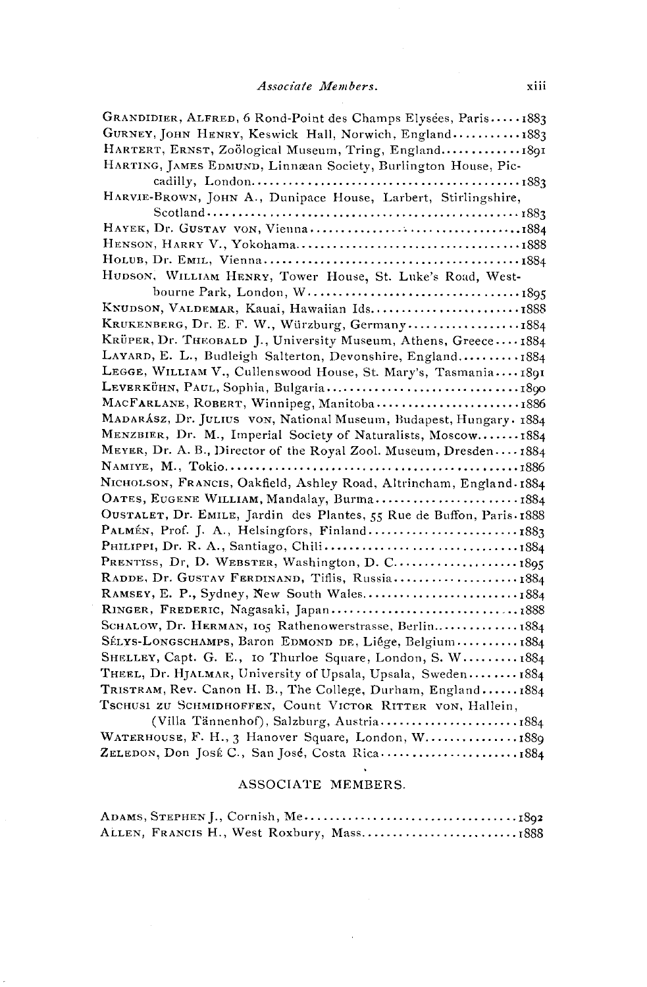| GRANDIDIER, ALFRED, 6 Rond-Point des Champs Elysées, Paris1883             |
|----------------------------------------------------------------------------|
| GURNEY, JOHN HENRY, Keswick Hall, Norwich, England1883                     |
| HARTERT, ERNST, Zoölogical Museum, Tring, England1891                      |
| HARTING, JAMES EDMUND, Linnæan Society, Burlington House, Pic-             |
|                                                                            |
| HARVIE-BROWN, JOHN A., Dunipace House, Larbert, Stirlingshire,             |
|                                                                            |
|                                                                            |
|                                                                            |
|                                                                            |
| HUDSON, WILLIAM HENRY, Tower House, St. Luke's Road, West-                 |
|                                                                            |
| KNUDSON, VALDEMAR, Kauai, Hawaiian Ids1888                                 |
| KRUKENBERG, Dr. E. F. W., Würzburg, Germany1884                            |
| KRÜPER, Dr. THEOBALD J., University Museum, Athens, Greece1884             |
| LAYARD, E. L., Budleigh Salterton, Devonshire, England 1884                |
| LEGGE, WILLIAM V., Cullenswood House, St. Mary's, Tasmania 1891            |
| LEVERKÜHN, PAUL, Sophia, Bulgaria1890                                      |
| MACFARLANE, ROBERT, Winnipeg, Manitoba1886                                 |
| MADARÁSZ, Dr. JULIUS VON, National Museum, Budapest, Hungary. 1884         |
| MENZBIER, Dr. M., Imperial Society of Naturalists, Moscow1884              |
| MEYER, Dr. A. B., Director of the Royal Zool. Museum, Dresden1884          |
|                                                                            |
| NICHOLSON, FRANCIS, Oakfield, Ashley Road, Altrincham, England. 1884       |
| OATES, EUGENE WILLIAM, Mandalay, Burma1884                                 |
| OUSTALET, Dr. EMILE, Jardin des Plantes, 55 Rue de Buffon, Paris . 1888    |
| PALMÉN, Prof. J. A., Helsingfors, Finland1883                              |
|                                                                            |
|                                                                            |
| RADDE, Dr. GUSTAV FERDINAND, Tiflis, Russia1884                            |
| RAMSEY, E. P., Sydney, New South Wales1884                                 |
|                                                                            |
| SCHALOW, Dr. HERMAN, 105 Rathenowerstrasse, Berlin 1884                    |
| SÉLYS-LONGSCHAMPS, Baron EDMOND DE, Liége, Belgium1884                     |
| SHELLEY, Capt. G. E., 10 Thurloe Square, London, S. W 1884                 |
| THEEL, Dr. HJALMAR, University of Upsala, Upsala, Sweden 1884              |
| TRISTRAM, Rev. Canon H. B., The College, Durham, England 1884              |
| Tschusi zu Schmidhoffen, Count Victor Ritter von, Hallein,                 |
| $\sim$ 00.<br>$\Delta V_{\rm min}$ Tennenber Selphung $\Delta v_{\rm min}$ |

|                                                    | $(v)$ and $(u)$ , $(u)$ , $(u)$ and $(u)$ , $(u)$ are $(u)$ , $(u)$ are $(u)$ , $(u)$ are $(u)$ , $(u)$ are $(u)$ , $(u)$ |  |
|----------------------------------------------------|---------------------------------------------------------------------------------------------------------------------------|--|
| WATERHOUSE, F. H., 3 Hanover Square, London, W1889 |                                                                                                                           |  |
| ZELEDON, Don JOSÉ C., San José, Costa Rica1884     |                                                                                                                           |  |

#### ASSOCIATE MEMBERS.

|  |  | ALLEN, FRANCIS H., West Roxbury, Mass1888 |  |
|--|--|-------------------------------------------|--|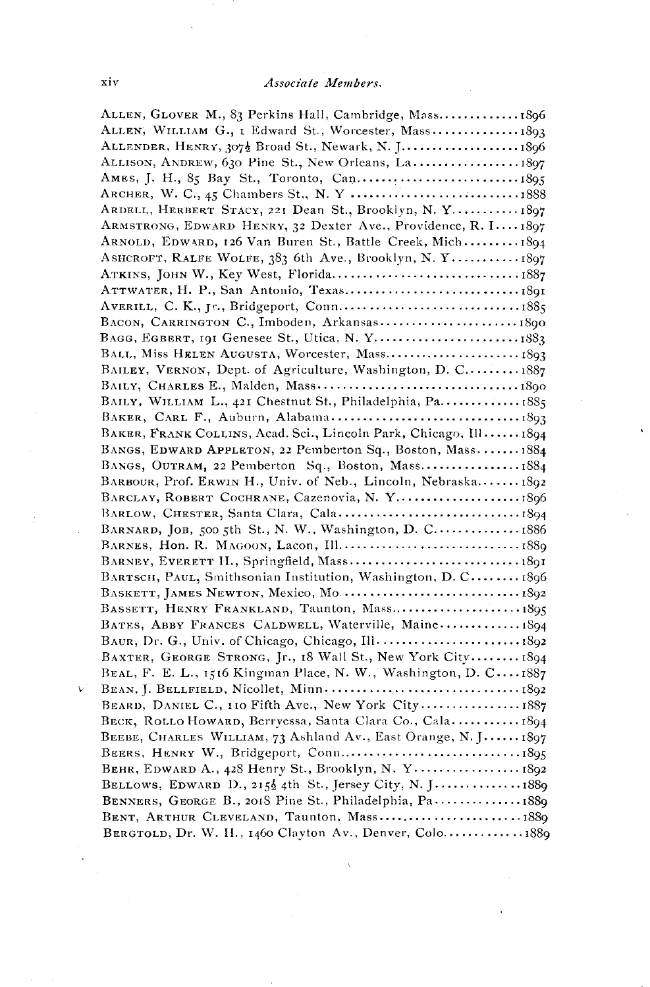| ALLEN, GLOVER M., 83 Perkins Hall, Cambridge, Mass 1896           |  |
|-------------------------------------------------------------------|--|
| ALLEN, WILLIAM G., I Edward St., Worcester, Mass 1893             |  |
| ALLENDER, HENRY, 3072 Broad St., Newark, N. J 1896                |  |
| ALLISON, ANDREW, 630 Pine St., New Orleans, La 1897               |  |
|                                                                   |  |
|                                                                   |  |
| ARDELL, HERBERT STACY, 221 Dean St., Brooklyn, N. Y 1897          |  |
| ARMSTRONG, EDWARD HENRY, 32 Dexter Ave., Providence, R. I1897     |  |
| ARNOLD, EDWARD, 126 Van Buren St., Battle Creek, Mich 1894        |  |
| ASHCROFT, RALFE WOLFE, 383 6th Ave., Brooklyn, N. Y 1897          |  |
|                                                                   |  |
|                                                                   |  |
|                                                                   |  |
| BACON, CARRINGTON C., Imboden, Arkansas1890                       |  |
| BAGG, EGBERT, 191 Genesee St., Utica, N. Y1883                    |  |
| BALL, Miss HELEN AUGUSTA, Worcester, Mass 1893                    |  |
| BAILEY, VERNON, Dept. of Agriculture, Washington, D. C 1887       |  |
|                                                                   |  |
| BAILY, WILLIAM L., 421 Chestnut St., Philadelphia, Pa.  1885      |  |
|                                                                   |  |
|                                                                   |  |
| BAKER, FRANK COLLINS, Acad. Sci., Lincoln Park, Chicago, Ill 1894 |  |
| BANGS, EDWARD APPLETON, 22 Pemberton Sq., Boston, Mass 1884       |  |
| BANGS, OUTRAM, 22 Pemberton Sq., Boston, Mass1884                 |  |
| BARBOUR, Prof. ERWIN H., Univ. of Neb., Lincoln, Nebraska1892     |  |
| BARCLAY, ROBERT COCHRANE, Cazenovia, N. Y1896                     |  |
|                                                                   |  |
| BARNARD, JOB, 500 5th St., N. W., Washington, D. C 1886           |  |
|                                                                   |  |
|                                                                   |  |
| BARTSCH, PAUL, Smithsonian Institution, Washington, D. C 1896     |  |
|                                                                   |  |
| BASSETT, HENRY FRANKLAND, Taunton, Mass1895                       |  |
| BATES, ABBY FRANCES CALDWELL, Waterville, Maine 1894              |  |
| BAUR, Dr. G., Univ. of Chicago, Chicago, Ill.  1892               |  |
| BAXTER, GEORGE STRONG, Jr., 18 Wall St., New York City 1894       |  |
| BEAL, F. E. L., 1516 Kingman Place, N. W., Washington, D. C1887   |  |
|                                                                   |  |
| BEARD, DANIEL C., 110 Fifth Ave., New York City1887               |  |
| BECK, ROLLO HOWARD, Berryessa, Santa Clara Co., Cala 1894         |  |
| BEEBE, CHARLES WILLIAM, 73 Ashland Av., East Orange, N. J1897     |  |
|                                                                   |  |
| BEHR, EDWARD A., 428 Henry St., Brooklyn, N. Y 1892               |  |
| BELLOWS, EDWARD D., 2152 4th St., Jersey City, N. J 1889          |  |
| BENNERS, GEORGE B., 2018 Pine St., Philadelphia, Pa1889           |  |
| BENT, ARTHUR CLEVELAND, Taunton, Mass1889                         |  |
| BERGTOLD, Dr. W. H., 1460 Clayton Av., Denver, Colo1880           |  |

 $\ddot{\vee}$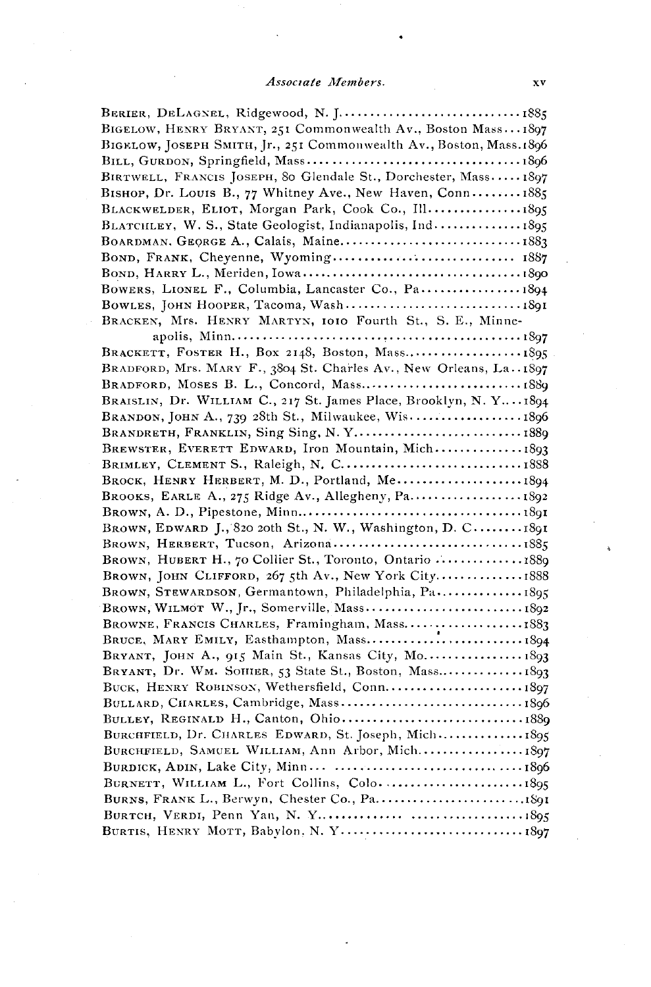| BIGELOW, HENRY BRYANT, 251 Commonwealth Av., Boston Mass 1897        |
|----------------------------------------------------------------------|
| BIGELOW, JOSEPH SMITH, Jr., 251 Commonwealth Av., Boston, Mass. 1896 |
|                                                                      |
| BIRTWELL, FRANCIS JOSEPH, 80 Glendale St., Dorchester, Mass1897      |
| BISHOP, Dr. Louis B., 77 Whitney Ave., New Haven, Conn 1885          |
| BLACKWELDER, ELIOT, Morgan Park, Cook Co., Ill1895                   |
| BLATCHLEY, W. S., State Geologist, Indianapolis, Ind 1895            |
| BOARDMAN, GEORGE A., Calais, Maine1883                               |
| BOND, FRANK, Cheyenne, Wyoming 1887                                  |
|                                                                      |
| BOWERS, LIONEL F., Columbia, Lancaster Co., Pa 1894                  |
|                                                                      |
| BRACKEN, Mrs. HENRY MARTYN, 1010 Fourth St., S. E., Minne-           |
|                                                                      |
| BRACKETT, FOSTER H., Box 2148, Boston, Mass 1895                     |
| BRADFORD, Mrs. MARY F., 3804 St. Charles Av., New Orleans, La. 1897  |
|                                                                      |
| BRAISLIN, Dr. WILLIAM C., 217 St. James Place, Brooklyn, N. Y1894    |
| BRANDON, JOHN A., 739 28th St., Milwaukee, Wis1896                   |
| BRANDRETH, FRANKLIN, Sing Sing, N.Y1889                              |
| BREWSTER, EVERETT EDWARD, Iron Mountain, Mich1893                    |
| BRIMLEY, CLEMENT S., Raleigh, N. C1888                               |
| BROCK, HENRY HERBERT, M. D., Portland, Me 1894                       |
| BROOKS, EARLE A., 275 Ridge Av., Allegheny, Pa 1892                  |
|                                                                      |
| BROWN, EDWARD J., 820 20th St., N. W., Washington, D. C1891          |
| BROWN, HERBERT, Tucson, Arizona1885                                  |
| BROWN, HUBERT H., 70 Collier St., Toronto, Ontario  1889             |
| BROWN, JOHN CLIFFORD, 267 5th Av., New York City1888                 |
| BROWN, STEWARDSON, Germantown, Philadelphia, Pa1895                  |
|                                                                      |
| BROWNE, FRANCIS CHARLES, Framingham, Mass1883                        |
|                                                                      |
| BRYANT, JOHN A., 915 Main St., Kansas City, Mo 1893                  |
|                                                                      |
| BUCK, HENRY ROBINSON, Wethersfield, Conn 1897                        |
| BULLARD, CHARLES, Cambridge, Mass1896                                |
|                                                                      |
| BURCHFIELD, Dr. CHARLES EDWARD, St. Joseph, Mich 1895                |
|                                                                      |
|                                                                      |
|                                                                      |
| BURNETT, WILLIAM L., Fort Collins, Colo. 1895                        |
|                                                                      |
|                                                                      |
|                                                                      |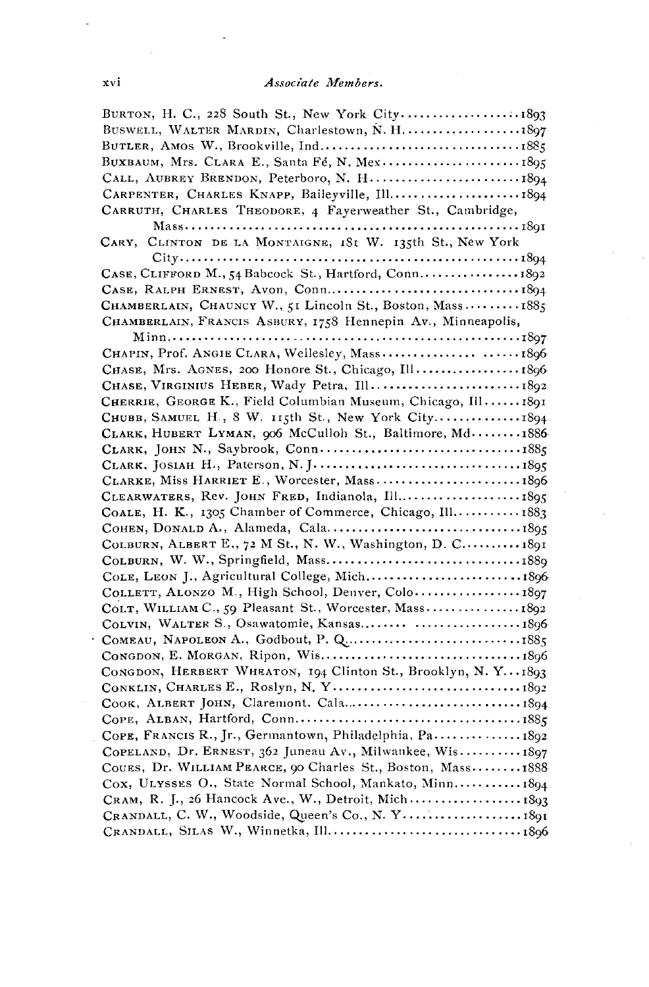| BURTON, H. C., 228 South St., New York City1893              |
|--------------------------------------------------------------|
| BUSWELL, WALTER MARDIN, Charlestown, N. H.  1897             |
|                                                              |
| BUXBAUM, Mrs. CLARA E., Santa Fé, N. Mex1895                 |
| CALL, AUBREY BRENDON, Peterboro, N. H 1894.                  |
| CARPENTER, CHARLES KNAPP, Baileyville, Ill 1894              |
| CARRUTH, CHARLES THEODORE, 4 Fayerweather St., Cambridge,    |
|                                                              |
| CARY, CLINTON DE LA MONTAIGNE, 1SI W. 135th St., New York    |
|                                                              |
|                                                              |
|                                                              |
| CHAMBERLAIN, CHAUNCY W., 51 Lincoln St., Boston, Mass 1885   |
| CHAMBERLAIN, FRANCIS ASBURY, 1758 Hennepin Av., Minneapolis, |
|                                                              |
|                                                              |
| CHASE, Mrs. AGNES, 200 Honore St., Chicago, Ill1896          |
| CHASE, VIRGINIUS HEBER, Wady Petra, Ill 1892                 |
| CHERRIE, GEORGE K., Field Columbian Museum, Chicago, Ill1891 |
| CHUBB, SAMUEL H., 8 W. 115th St., New York City1894          |
| CLARK, HUBERT LYMAN, 906 McCulloh St., Baltimore, Md1886     |
|                                                              |
|                                                              |
| CLARKE, Miss HARRIET E., Worcester, Mass1896                 |
| CLEARWATERS, Rev. JOHN FRED, Indianola, Ill1895              |
| COALE, H. K., 1305 Chamber of Commerce, Chicago, Ill 1883    |
|                                                              |
| COLBURN, ALBERT E., 72 M St., N. W., Washington, D. C 1891   |
|                                                              |
| COLE, LEON J., Agricultural College, Mich1896                |
| COLLETT, ALONZO M., High School, Denver, Colo1897            |
| COLT, WILLIAM C., 59 Pleasant St., Worcester, Mass 1892      |
| COLVIN, WALTER S., Osawatomie, Kansas  1896                  |
|                                                              |
|                                                              |
| CONGDON, HERBERT WHEATON, 194 Clinton St., Brooklyn, N.Y1893 |
|                                                              |
|                                                              |
|                                                              |
| COPE, FRANCIS R., Jr., Germantown, Philadelphia, Pa 1892     |
| COPELAND, Dr. ERNEST, 362 Juneau Av., Milwankee, Wis1897     |
| COUES, Dr. WILLIAM PEARCE, 90 Charles St., Boston, Mass1888  |
| Cox, ULYSSES O., State Normal School, Mankato, Minn 1894     |
| CRAM, R. J., 26 Hancock Ave., W., Detroit, Mich 1893         |
| CRANDALL, C. W., Woodside, Queen's Co., N. Y 1891            |
|                                                              |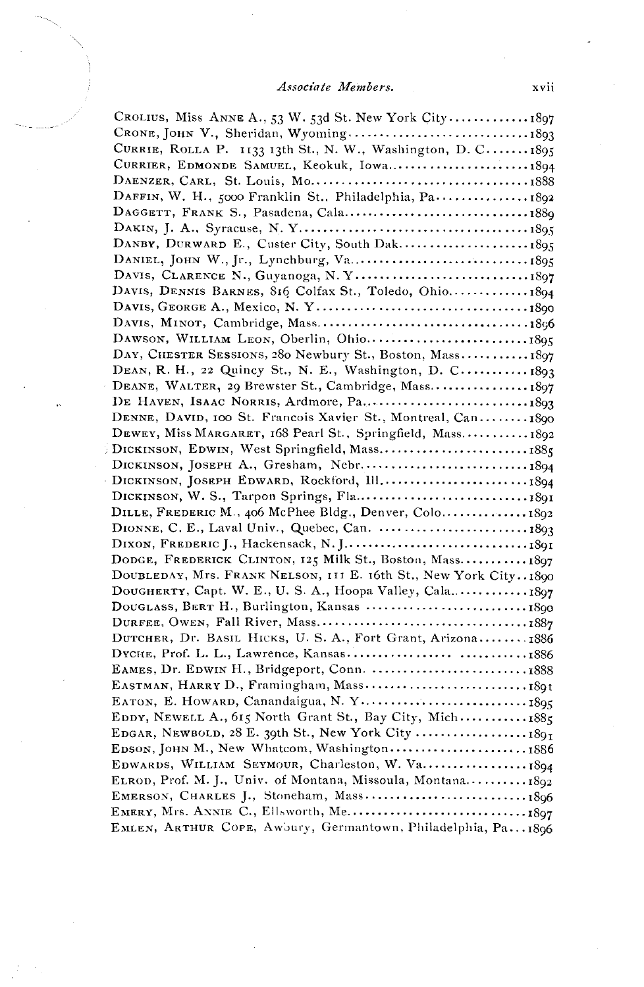#### Associate Members.

| CROLIUS, Miss ANNE A., 53 W. 53d St. New York City1897           |
|------------------------------------------------------------------|
|                                                                  |
| CURRIE, ROLLA P. 1133 13th St., N. W., Washington, D. C1895      |
| CURRIER, EDMONDE SAMUEL, Keokuk, Iowa 1894                       |
|                                                                  |
|                                                                  |
|                                                                  |
|                                                                  |
|                                                                  |
|                                                                  |
|                                                                  |
| DAVIS, DENNIS BARNES, 816 Colfax St., Toledo, Ohio1894           |
|                                                                  |
|                                                                  |
|                                                                  |
| DAY, CHESTER SESSIONS, 280 Newbury St., Boston, Mass1897         |
| DEAN, R. H., 22 Quincy St., N. E., Washington, D. C 1893         |
|                                                                  |
| DEANE, WALTER, 29 Brewster St., Cambridge, Mass 1897             |
|                                                                  |
| DENNE, DAVID, 100 St. Francois Xavier St., Montreal, Can1890     |
| DEWEY, Miss MARGARET, 168 Pearl St., Springfield, Mass 1892      |
| DICKINSON, EDWIN, West Springfield, Mass1885                     |
|                                                                  |
|                                                                  |
|                                                                  |
| DILLE, FREDERIC M., 406 McPhee Bldg., Denver, Colo1892           |
|                                                                  |
|                                                                  |
| DODGE, FREDERICK CLINTON, 125 Milk St., Boston, Mass 1897        |
| DOUBLEDAY, Mrs. FRANK NELSON, 111 E. 16th St., New York City1890 |
| DOUGHERTY, Capt. W. E., U. S. A., Hoopa Valley, Cala1897         |
| DOUGLASS, BERT H., Burlington, Kansas  1890                      |
|                                                                  |
| DUTCHER, Dr. BASIL HICKS, U. S. A., Fort Grant, Arizona 1886     |
|                                                                  |
| EAMES, Dr. EDWIN H., Bridgeport, Conn. 1888                      |
|                                                                  |
|                                                                  |
| EDDY, NEWELL A., 615 North Grant St., Bay City, Mich 1885        |
| EDGAR, NEWBOLD, 28 E. 39th St., New York City  1891              |
| EDSON, JOHN M., New Whatcom, Washington1886                      |
| EDWARDS, WILLIAM SEYMOUR, Charleston, W. Va 1894                 |
| ELROD, Prof. M. J., Univ. of Montana, Missoula, Montana1892      |
| EMERSON, CHARLES J., Stoneham, Mass1896                          |
|                                                                  |
| EMLEN, ARTHUR COPE, Awbury, Germantown, Philadelphia, Pa1896     |
|                                                                  |

xvii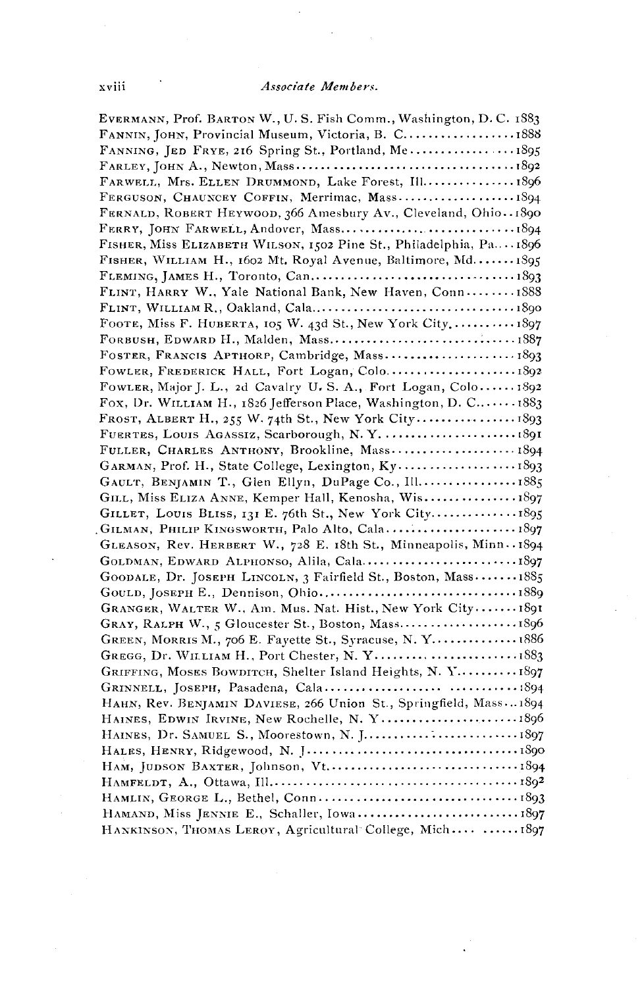EVERMANN, Prof. BARTON W., U.S. Fish Comm., Washington, D.C. 1883 FANNIN, JOHN, Provincial Museum, Victoria, B. C....................1888 FARWELL, Mrs. ELLEN DRUMMOND, Lake Forest, Ill................1896 FERGUSON, CHAUNCEY COFFIN, Merrimac, Mass...................1894 FERNALD, ROBERT HEYWOOD, 366 Amesbury Av., Cleveland, Ohio. 1890 FISHER, Miss ELIZABETH WILSON, 1502 Pine St., Philadelphia, Pa. .. 1896 FISHER, WILLIAM H., 1602 Mt. Royal Avenue, Baltimore, Md....... 1895 FLINT, HARRY W., Yale National Bank, New Haven, Conn........ 1888 FOOTE, Miss F. HUBERTA, 105 W. 43d St., New York City.......... 1897 FORBUSH, EDWARD H., Malden, Mass...............................1887 FOWLER, Major J. L., 2d Cavalry U.S. A., Fort Logan, Colo...... 1892 Fox, Dr. WILLIAM H., 1826 Jefferson Place, Washington, D. C...... 1883 FULLER, CHARLES ANTHONY, Brookline, Mass....................1894 GAULT, BENJAMIN T., Glen Ellyn, DuPage Co., Ill..................1885 GILL, Miss ELIZA ANNE, Kemper Hall, Kenosha, Wis..................1897 GILLET, LOUIS BLISS, 131 E. 76th St., New York City...............1895 GLEASON, Rev. HERBERT W., 728 E. 18th St., Minneapolis, Minn. 1894 GOODALE, Dr. JOSEPH LINCOLN, 3 Fairfield St., Boston, Mass...... 1885 GOULD, JOSEPH E., Dennison, Ohio...................................1889 GRANGER, WALTER W., Am. Mus. Nat. Hist., New York City....... 1891 GRAY, RALPH W., 5 Gloucester St., Boston, Mass............................. 1896 GREEN, MORRIS M., 706 E. Fayette St., Syracuse, N.Y................ 1886 GREGG, Dr. WILLIAM H., Port Chester, N. Y.............................. 1883 GRIFFING, MOSES BOWDITCH, Shelter Island Heights, N. Y......... 1897 HAHN, Rev. BENJAMIN DAVIESE, 266 Union St., Springfield, Mass...1894 HAINES, EDWIN IRVINE, New Rochelle, N. Y.........................1896 HANKINSON, THOMAS LEROY, Agricultural College, Mich.... ......1897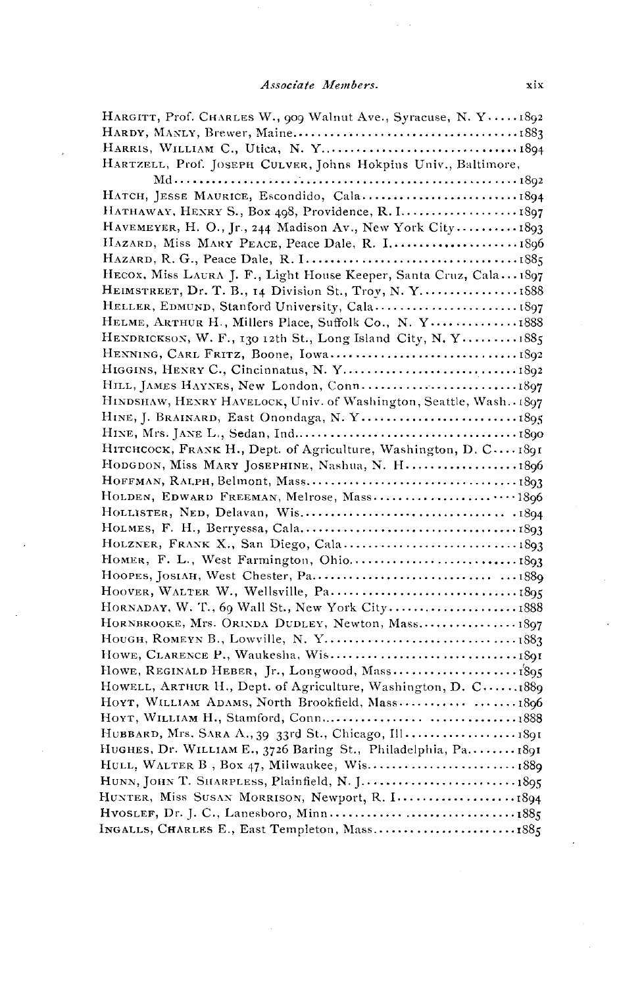#### Associate Members.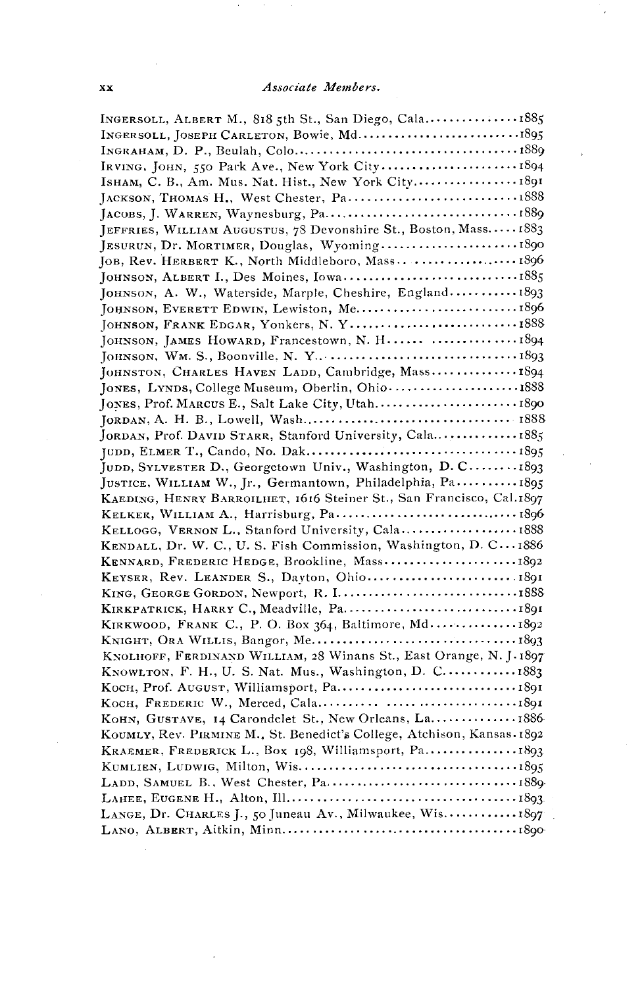| INGERSOLL, ALBERT M., 818 5th St., San Diego, Cala1885                  |
|-------------------------------------------------------------------------|
|                                                                         |
|                                                                         |
| IRVING, JOHN, 550 Park Ave., New York City 1894                         |
| ISHAM, C. B., Am. Mus. Nat. Hist., New York City 1891                   |
|                                                                         |
|                                                                         |
| JEFFRIES, WILLIAM AUGUSTUS, 78 Devonshire St., Boston, Mass 1883        |
| JESURUN, Dr. MORTIMER, Douglas, Wyoming1890                             |
| JOB, Rev. HERBERT K., North Middleboro, Mass1896                        |
| JOHNSON, ALBERT I., Des Moines, Iowa1885                                |
| JOHNSON, A. W., Waterside, Marple, Cheshire, England 1893               |
|                                                                         |
| JOHNSON, FRANK EDGAR, YONkers, N.Y1888                                  |
| JOHNSON, JAMES HOWARD, Francestown, N. H 1894                           |
|                                                                         |
| JOHNSTON, CHARLES HAVEN LADD, Cambridge, Mass 1894                      |
| JONES, LYNDS, College Museum, Oberlin, Ohio1888                         |
|                                                                         |
|                                                                         |
| JORDAN, Prof. DAVID STARR, Stanford University, Cala1885                |
|                                                                         |
|                                                                         |
| JUDD, SYLVESTER D., Georgetown Univ., Washington, D. C 1893             |
| JUSTICE, WILLIAM W., Jr., Germantown, Philadelphia, Pa 1895             |
| KAEDING, HENRY BARROILHET, 1616 Steiner St., San Francisco, Cal.1897    |
| KELKER, WILLIAM A., Harrisburg, Pa 1896                                 |
| KELLOGG, VERNON L., Stanford University, Cala1888                       |
| KENDALL, Dr. W. C., U. S. Fish Commission, Washington, D. C 1886        |
| KENNARD, FREDERIC HEDGE, Brookline, Mass1892                            |
|                                                                         |
| KING, GEORGE GORDON, Newport, R. I1888                                  |
|                                                                         |
| KIRKWOOD, FRANK C., P. O. Box 364, Baltimore, Md1892                    |
|                                                                         |
| KNOLHOFF, FERDINAND WILLIAM, 28 Winans St., East Orange, N. J. 1897     |
| KNOWLTON, F. H., U. S. Nat. Mus., Washington, D. C 1883                 |
|                                                                         |
|                                                                         |
| KOHN, GUSTAVE, 14 Carondelet St., New Orleans, La 1886                  |
| KOUMLY, Rev. PIRMINE M., St. Benedict's College, Atchison, Kansas. 1892 |
| KRAEMER, FREDERICK L., Box 198, Williamsport, Pa1893                    |
|                                                                         |
|                                                                         |
|                                                                         |
| LANGE, Dr. CHARLES J., 50 Juneau Av., Milwaukee, Wis 1897               |
|                                                                         |
|                                                                         |

 $\cdot$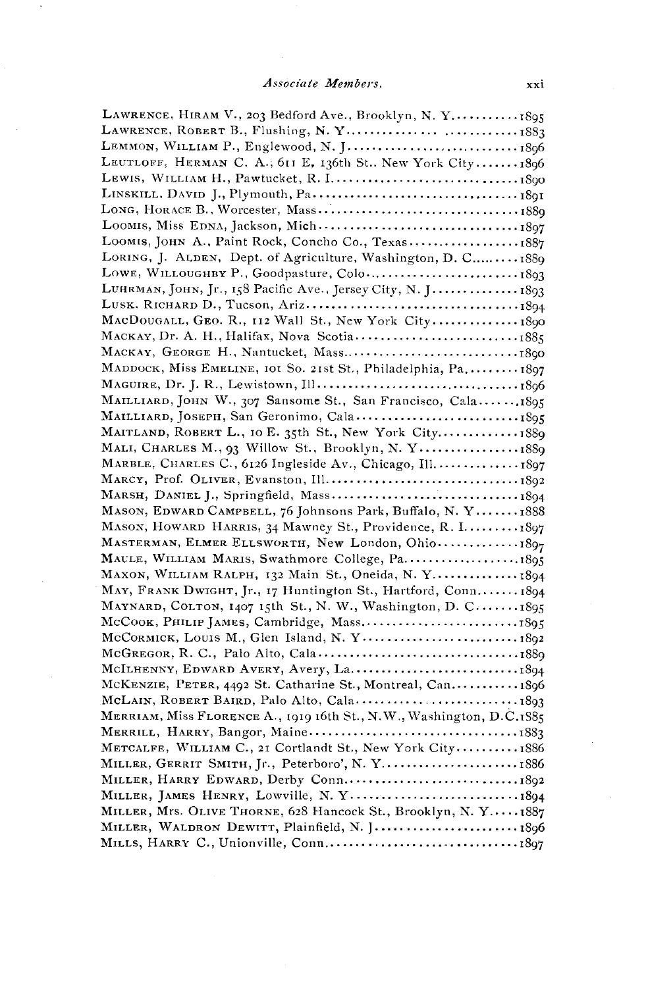$\ddot{\phantom{a}}$ 

| LAWRENCE, ROBERT B., Flushing, N.Y1883                               |  |
|----------------------------------------------------------------------|--|
|                                                                      |  |
| LEUTLOFF, HERMAN C. A., 611 E, 136th St New York City1896            |  |
|                                                                      |  |
|                                                                      |  |
|                                                                      |  |
|                                                                      |  |
| LOOMIS, JOHN A., Paint Rock, Concho Co., Texas1887                   |  |
| LORING, J. ALDEN, Dept. of Agriculture, Washington, D. C 1889        |  |
|                                                                      |  |
| LUHRMAN, JOHN, Jr., 158 Pacific Ave., Jersey City, N. J 1893         |  |
|                                                                      |  |
| MACDOUGALL, GEO. R., 112 Wall St., New York City 1890                |  |
| MACKAY, Dr. A. H., Halifax, Nova Scotia1885                          |  |
|                                                                      |  |
| MADDOCK, Miss EMELINE, IOI So. 21st St., Philadelphia, Pa1897        |  |
|                                                                      |  |
| MAILLIARD, JOHN W., 307 Sansome St., San Francisco, Cala1895         |  |
|                                                                      |  |
| MAITLAND, ROBERT L., 10 E. 35th St., New York City1889               |  |
| MALI, CHARLES M., 93 Willow St., Brooklyn, N. Y1889                  |  |
| MARBLE, CHARLES C., 6126 Ingleside Av., Chicago, Ill 1897            |  |
|                                                                      |  |
|                                                                      |  |
| MASON, EDWARD CAMPBELL, 76 Johnsons Park, Buffalo, N. Y 1888         |  |
| MASON, HOWARD HARRIS, 34 Mawney St., Providence, R. I 1897           |  |
| MASTERMAN, ELMER ELLSWORTH, New London, Ohio1897                     |  |
|                                                                      |  |
| MAXON, WILLIAM RALPH, 132 Main St., Oneida, N.Y 1894                 |  |
| MAY, FRANK DWIGHT, Jr., 17 Huntington St., Hartford, Conn 1894       |  |
| MAYNARD, COLTON, 1407 15th St., N. W., Washington, D. C1895          |  |
|                                                                      |  |
| McCORMICK, LOUIS M., Glen Island, N. Y 1892                          |  |
|                                                                      |  |
|                                                                      |  |
| McKENZIE, PETER, 4492 St. Catharine St., Montreal, Can1896           |  |
|                                                                      |  |
| MERRIAM, Miss FLORENCE A., 1919 16th St., N.W., Washington, D.C.1885 |  |
|                                                                      |  |
| METCALFE, WILLIAM C., 21 Cortlandt St., New York City1886            |  |
| MILLER, GERRIT SMITH, Jr., Peterboro', N.Y1886                       |  |
|                                                                      |  |
|                                                                      |  |
| MILLER, Mrs. OLIVE THORNE, 628 Hancock St., Brooklyn, N. Y1887       |  |
| MILLER, WALDRON DEWITT, Plainfield, N. J1896                         |  |
|                                                                      |  |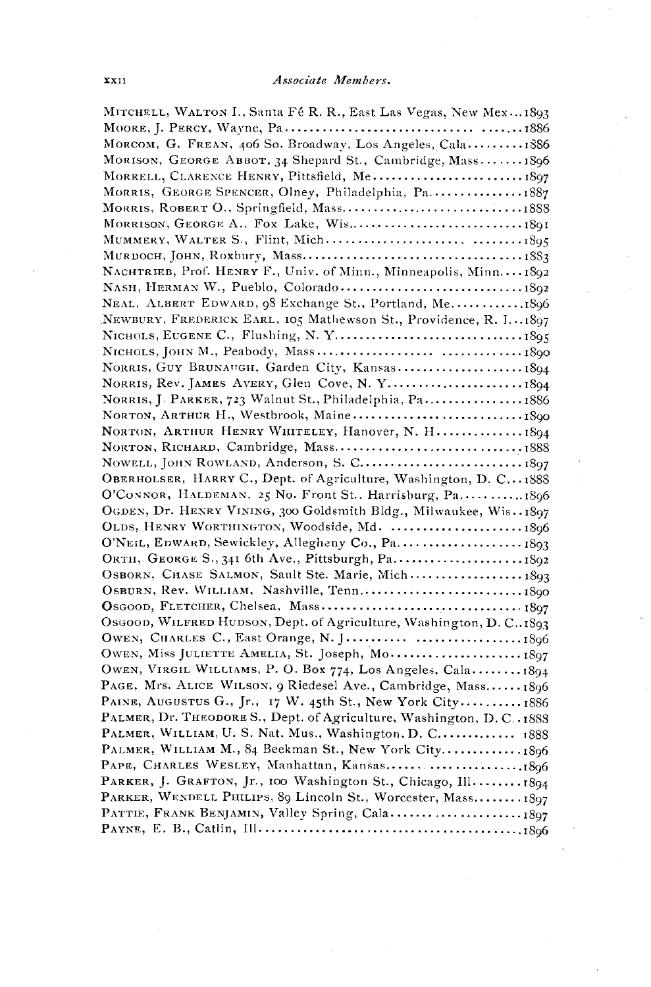| MITCHELL, WALTON I., Santa Fé R. R., East Las Vegas, New Mex1893        |
|-------------------------------------------------------------------------|
|                                                                         |
| MORCOM, G. FREAN. 406 So. Broadway, Los Angeles, Cala 1886              |
| MORISON, GEORGE ABBOT, 34 Shepard St., Cambridge, Mass1896              |
| MORRELL, CLARENCE HENRY, Pittsfield, Me 1897                            |
| MORRIS, GEORGE SPENCER, Olney, Philadelphia, Pa1887                     |
| MORRIS, ROBERT O., Springfield, Mass1888                                |
|                                                                         |
|                                                                         |
|                                                                         |
| NACHTRIEB, Prof. HENRY F., Univ. of Minn., Minneapolis, Minn.  1892     |
|                                                                         |
| NEAL, ALBERT EDWARD, 98 Exchange St., Portland, Me1896                  |
| NEWBURY, FREDERICK EARL, 105 Mathewson St., Providence, R. I1897        |
|                                                                         |
|                                                                         |
| NORRIS, GUY BRUNAUGH, Garden City, Kansas 1894                          |
|                                                                         |
| NORRIS, J. PARKER, 723 Walnut St., Philadelphia, Pa 1886                |
|                                                                         |
| NORTON, ARTHUR HENRY WHITELEY, Hanover, N. H 1894                       |
|                                                                         |
|                                                                         |
| OBERHOLSER, HARRY C., Dept. of Agriculture, Washington, D. C1888        |
| O'CONNOR, HALDEMAN, 25 No. Front St., Harrisburg, Pa1896                |
| OGDEN, Dr. HENRY VINING, 300 Goldsmith Bldg., Milwaukee, Wis. . 1897    |
| OLDS, HENRY WORTHINGTON, Woodside, Md. 1896                             |
| O'NEIL, EDWARD, Sewickley, Allegheny Co., Pa 1893                       |
| ORTH, GEORGE S., 341 6th Ave., Pittsburgh, Pa 1892                      |
| OSBORN, CHASE SALMON, Sault Ste. Marie, Mich 1893                       |
|                                                                         |
|                                                                         |
| Osgoon, WILFRED HUDSON, Dept. of Agriculture, Washington, D. C., 1893   |
|                                                                         |
| OWEN, Miss JULIETTE AMELIA, St. Joseph, Mo 1897                         |
| OWEN, VIRGIL WILLIAMS, P. O. Box 774, Los Angeles, Cala 1894            |
| PAGE, Mrs. ALICE WILSON, 9 Riedesel Ave., Cambridge, Mass 1896          |
| PAINE, AUGUSTUS G., Jr., 17 W. 45th St., New York City 1886             |
| PALMER, Dr. THEODORE S., Dept. of Agriculture, Washington, D. C. . 1888 |
| PALMER, WILLIAM, U.S. Nat. Mus., Washington, D. C 1888                  |
| PALMER, WILLIAM M., 84 Beekman St., New York City1896                   |
|                                                                         |
| PARKER, J. GRAFTON, Jr., 100 Washington St., Chicago, Ill 1894          |
| PARKER, WENDELL PHILIPS, 89 Lincoln St., Worcester, Mass 1897           |
| PATTIE, FRANK BENJAMIN, Valley Spring, Cala1897                         |
|                                                                         |
|                                                                         |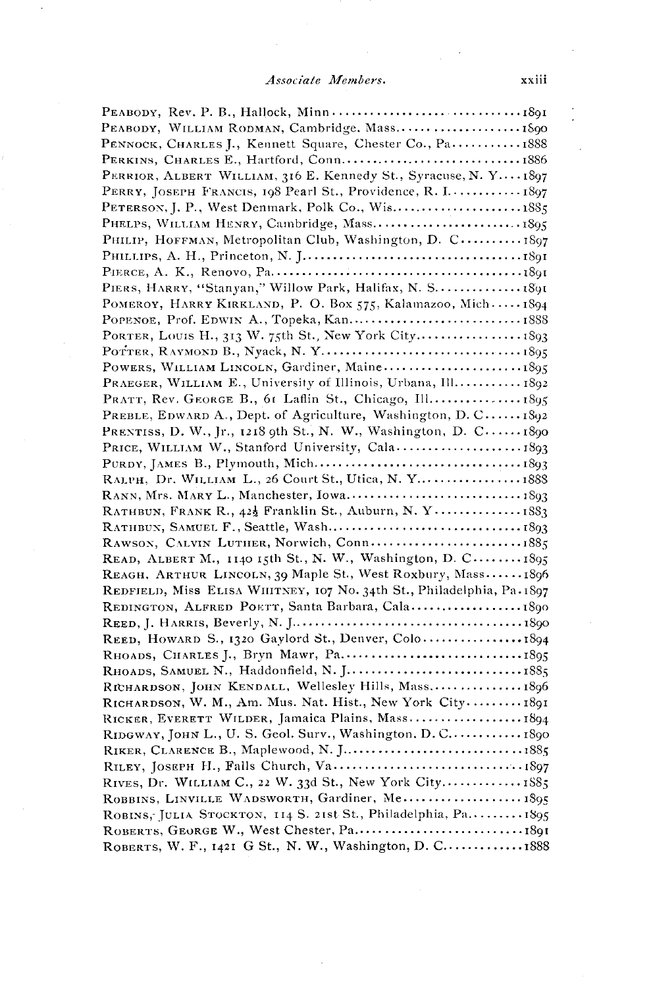#### Associate Members.

PEABODY, WILLIAM RODMAN, Cambridge. Mass........................ 1890 PENNOCK, CHARLES J., Kennett Square, Chester Co., Pa............ 1888 PERKINS, CHARLES E., Hartford, Conn................................1886 PERRIOR, ALBERT WILLIAM, 316 E. Kennedy St., Syracuse, N. Y.... 1897 PERRY, JOSEPH FRANCIS, 198 Pearl St., Providence, R. I............ 1897 PHELPS, WILLIAM HENRY, Cambridge, Mass............................. 1895 PHILIP, HOFFMAN, Metropolitan Club, Washington, D. C..........1897 PIERS, HARRY, "Stanyan," Willow Park, Halifax, N. S.................. 1891 POMEROY, HARRY KIRKLAND, P. O. Box 575, Kalamazoo, Mich.....1894 PORTER, LOUIS H., 313 W. 75th St., New York City................. 1893 POWERS, WILLIAM LINCOLN, Gardiner, Maine........................1895 PRAEGER, WILLIAM E., University of Illinois, Urbana, Ill........... 1892 PRATT, Rev. GEORGE B., 6t Laflin St., Chicago, Ill................ 1895 PREBLE, EDWARD A., Dept. of Agriculture, Washington, D. C.....1892 PRENTISS, D. W., Jr., 1218 9th St., N. W., Washington, D. C...... 1890 RALPH, Dr. WILLIAM L., 26 Court St., Utica, N. Y..................... 1888 RATHBUN, FRANK R., 422 Franklin St., Auburn, N. Y................1883 RAWSON, CALVIN LUTHER, Norwich, Conn...............................1885 READ, ALBERT M., 1140 15th St., N. W., Washington, D. C....... 1895 REAGH, ARTHUR LINCOLN, 39 Maple St., West Roxbury, Mass......1896 REDFIELD, Miss ELISA WHITNEY, 107 No. 34th St., Philadelphia, Pa.1897 REDINGTON, ALFRED PORTT, Santa Barbara, Cala..................... 1890 RICHARDSON, JOHN KENDALL, Wellesley Hills, Mass................ 1896 RICHARDSON, W. M., Am. Mus. Nat. Hist., New York City.........1891 RICKER, EVERETT WILDER, Jamaica Plains, Mass...................1894 RIDGWAY, JOHN L., U. S. Geol. Surv., Washington, D. C............. 1890 RIVES, Dr. WILLIAM C., 22 W. 33d St., New York City.............. 1885 ROBBINS, LINVILLE WADSWORTH, Gardiner, Me.................... 1895 ROBINS, JULIA STOCKTON, 114 S. 21st St., Philadelphia, Pa......... 1895 ROBERTS, GEORGE W., West Chester, Pa..................................1891 ROBERTS, W. F., 1421 G St., N. W., Washington, D. C.............. 1888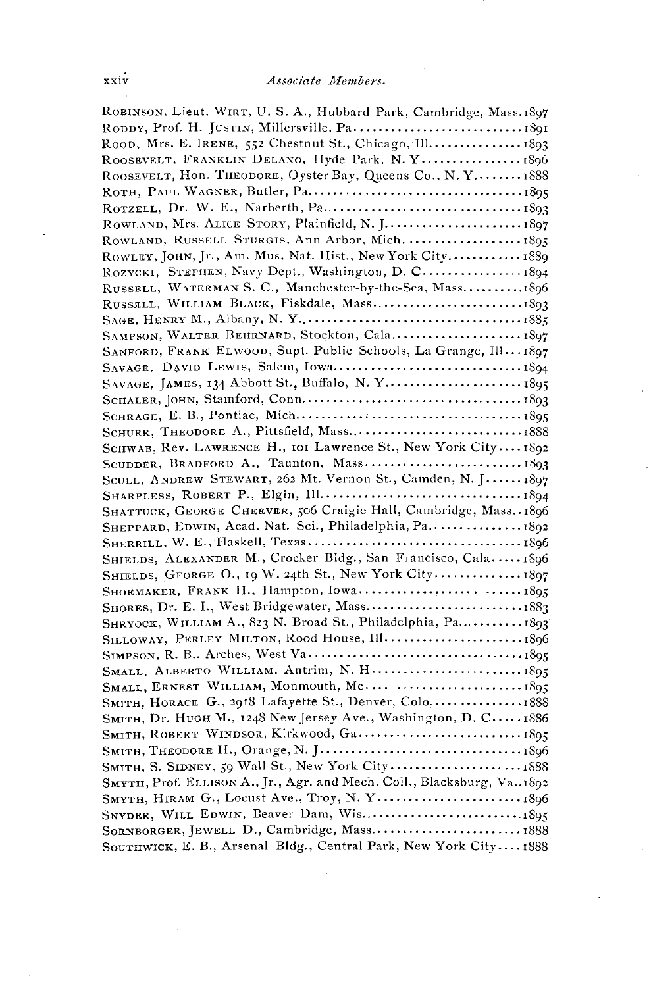| ROBINSON, Lieut. WIRT, U. S. A., Hubbard Park, Cambridge, Mass.1897      |
|--------------------------------------------------------------------------|
|                                                                          |
| ROOD, Mrs. E. IRENE, 552 Chestnut St., Chicago, Ill 1893                 |
| ROOSEVELT, FRANKLIN DELANO, Hyde Park, N.Y 1896                          |
| ROOSEVELT, HON. THEODORE, Oyster Bay, Queens Co., N.Y 1888               |
|                                                                          |
|                                                                          |
| ROWLAND, Mrs. ALICE STORY, Plainfield, N. J 1897                         |
| ROWLAND, RUSSELL STURGIS, Ann Arbor, Mich.  1895                         |
| ROWLEY, JOHN, Jr., Am. Mus. Nat. Hist., New York City 1889               |
| ROZYCKI, STEPHEN, Navy Dept., Washington, D. C 1894                      |
| RUSSELL, WATERMAN S. C., Manchester-by-the-Sea, Mass1896                 |
|                                                                          |
|                                                                          |
| SAMPSON, WALTER BEHRNARD, Stockton, Cala 1897                            |
| SANFORD, FRANK ELWOOD, Supt. Public Schools, La Grange, Ill 1897         |
|                                                                          |
| SAVAGE, JAMES, 134 Abbott St., Buffalo, N.Y 1895                         |
|                                                                          |
|                                                                          |
|                                                                          |
| SCHWAB, Rev. LAWRENCE H., IOI Lawrence St., New York City1892            |
| SCUDDER, BRADFORD A., Taunton, Mass 1893                                 |
| SCULL, ANDREW STEWART, 262 Mt. Vernon St., Camden, N. J 1897             |
|                                                                          |
| SHATTUCK, GEORGE CHEEVER, 506 Craigie Hall, Cambridge, Mass. 1896        |
| SHEPPARD, EDWIN, Acad. Nat. Sci., Philadelphia, Pa 1892                  |
|                                                                          |
| SHIELDS, ALEXANDER M., Crocker Bldg., San Francisco, Cala1896            |
| SHIELDS, GEORGE O., 19 W. 24th St., New York City1897                    |
|                                                                          |
|                                                                          |
| SHRYOCK, WILLIAM A., 823 N. Broad St., Philadelphia, Pa1893              |
|                                                                          |
|                                                                          |
|                                                                          |
|                                                                          |
| SMITH, HORACE G., 2918 Lafayette St., Denver, Colo1888                   |
| SMITH, Dr. HUGH M., 1248 New Jersey Ave., Washington, D. C 1886          |
| SMITH, ROBERT WINDSOR, Kirkwood, Ga1895                                  |
|                                                                          |
|                                                                          |
| SMYTH, Prof. ELLISON A., Jr., Agr. and Mech. Coll., Blacksburg, Va. 1892 |
| SMYTH, HIRAM G., Locust Ave., Troy, N. Y1896                             |
|                                                                          |
| SORNBORGER, JEWELL D., Cambridge, Mass 1888                              |
| SOUTHWICK E. B., Arsenal Bldg., Central Park, New York City1888          |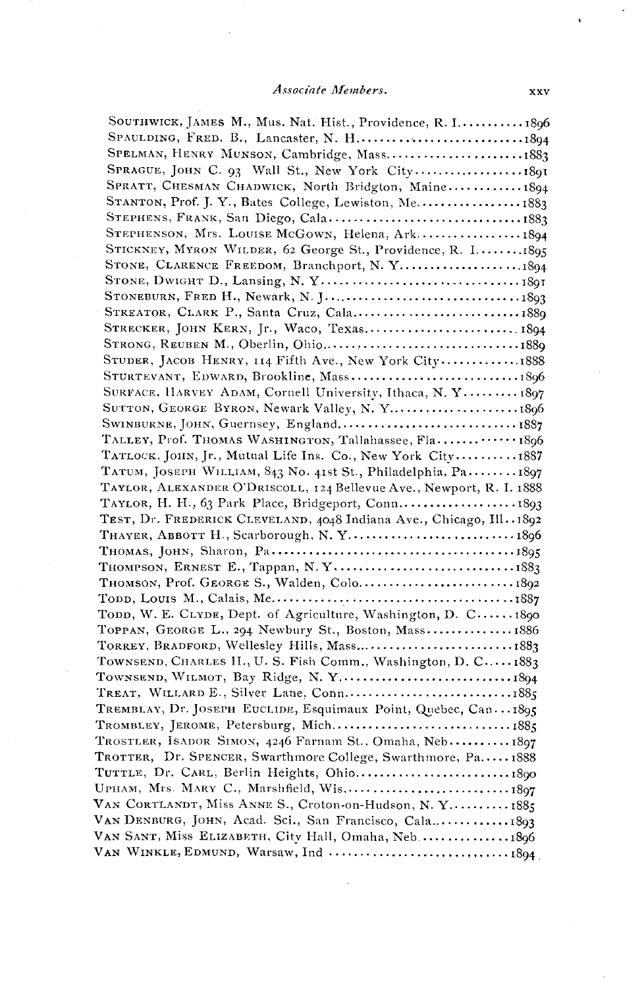#### **Associate Members. xxv**

| SOUTHWICK, JAMES M., Mus. Nat. Hist., Providence, R. I 1896          |  |
|----------------------------------------------------------------------|--|
| SPAULDING, FRED. B., Lancaster, N. H1894                             |  |
| SPELMAN, HENRY MUNSON, Cambridge, Mass1883                           |  |
|                                                                      |  |
| SPRATT, CHESMAN CHADWICK, North Bridgton, Maine 1894                 |  |
| STANTON, Prof. J. Y., Bates College, Lewiston, Me 1883               |  |
|                                                                      |  |
| STEPHENSON, Mrs. LOUISE McGown, Helena, Ark1894                      |  |
| STICKNEY, MYRON WILDER, 62 George St., Providence, R. I1895          |  |
|                                                                      |  |
|                                                                      |  |
|                                                                      |  |
|                                                                      |  |
| STRECKER, JOHN KERN, Jr., Waco, Texas1894                            |  |
|                                                                      |  |
| STUDER, JACOB HENRY, 114 Fifth Ave., New York City1888               |  |
|                                                                      |  |
| SURFACE, HARVEY ADAM, Cornell University, Ithaca, N. Y 1897          |  |
| SUTTON, GEORGE BYRON, Newark Valley, N. Y1896                        |  |
| SWINBURNE, JOHN, Guernsey, England 1887                              |  |
| TALLEY, Prof. THOMAS WASHINGTON, Tallahassee, Fla1896                |  |
| TATLOCK, JOHN, Jr., Mutual Life Ins. Co., New York City 1887         |  |
| TATUM, JOSEPH WILLIAM, 843 No. 41st St., Philadelphia. Pa1897        |  |
| TAYLOR, ALEXANDER O'DRISCOLL, 124 Bellevue Ave., Newport, R. I. 1888 |  |
|                                                                      |  |
| TEST, Dr. FREDERICK CLEVELAND, 4048 Indiana Ave., Chicago, Ill. 1892 |  |
| THAYER, ABBOTT H., Scarborough, N.Y1896                              |  |
|                                                                      |  |
|                                                                      |  |
| THOMSON, Prof. GEORGE S., Walden, Colo1892                           |  |
|                                                                      |  |
| TODD, W. E. CLYDE, Dept. of Agriculture, Washington, D. C1890        |  |
| TOPPAN, GEORGE L., 294 Newbury St., Boston, Mass1886                 |  |
| TORREY, BRADFORD, Wellesley Hills, Mass1883                          |  |
| TOWNSEND, CHARLES H., U. S. Fish Comm., Washington, D. C 1883        |  |
|                                                                      |  |
|                                                                      |  |
| TREMBLAY, Dr. JOSEPH EUCLIDE, Esquimaux Point, Quebec, Can1895       |  |
|                                                                      |  |
| TROSTLER, ISADOR SIMON, 4246 Farnam St., Omaha, Neb 1897             |  |
| TROTTER, Dr. SPENCER, Swarthmore College, Swarthmore, Pa1888         |  |
|                                                                      |  |
| UPHAM, Mrs. MARY C., Marshfield, Wis1897                             |  |
| VAN CORTLANDT, Miss ANNE S., Croton-on-Hudson, N. Y1885              |  |
|                                                                      |  |
| VAN SANT, Miss ELIZABETH, City Hall, Omaha, Neb1896                  |  |
|                                                                      |  |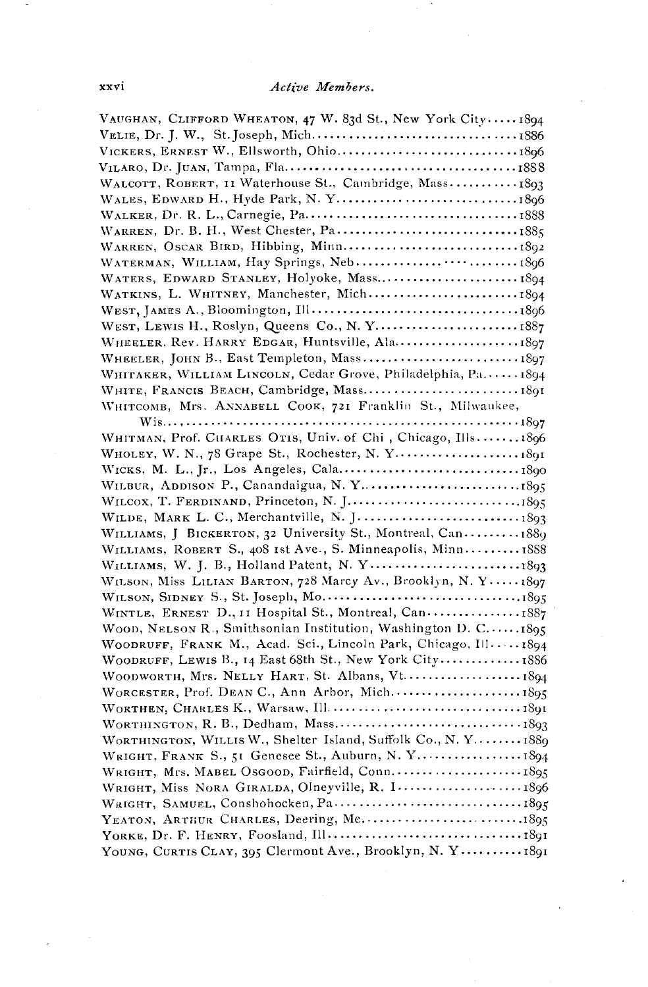| VAUGHAN, CLIFFORD WHEATON, 47 W. 83d St., New York City1894      |  |
|------------------------------------------------------------------|--|
|                                                                  |  |
|                                                                  |  |
|                                                                  |  |
| WALCOTT, ROBERT, 11 Waterhouse St., Cambridge, Mass 1893         |  |
|                                                                  |  |
|                                                                  |  |
|                                                                  |  |
|                                                                  |  |
| WATERMAN, WILLIAM, Hay Springs, Neb1896                          |  |
| WATERS, EDWARD STANLEY, Holyoke, Mass1894                        |  |
| WATKINS, L. WHITNEY, Manchester, Mich1894                        |  |
|                                                                  |  |
| WEST, LEWIS H., Roslyn, Queens Co., N.Y1887                      |  |
|                                                                  |  |
| WHEELER, JOHN B., East Templeton, Mass 1897                      |  |
| WHITAKER, WILLIAM LINCOLN, Cedar Grove, Philadelphia, Pa1894     |  |
|                                                                  |  |
| WHITCOMB, Mrs. ANNABELL COOK, 721 Franklin St., Milwaukee,       |  |
|                                                                  |  |
| WHITMAN, Prof. CHARLES OTIS, Univ. of Chi, Chicago, Ills1896     |  |
| WHOLEY, W. N., 78 Grape St., Rochester, N. Y 1891                |  |
|                                                                  |  |
|                                                                  |  |
|                                                                  |  |
|                                                                  |  |
| WILLIAMS, J BICKERTON, 32 University St., Montreal, Can 1889     |  |
| WILLIAMS, ROBERT S., 408 Ist Ave., S. Minneapolis, Minn 1888     |  |
| WILLIAMS, W. J. B., Holland Patent, N. Y 1893                    |  |
| WILSON, Miss LILIAN BARTON, 728 Marcy Av., Brooklyn, N. Y1897    |  |
|                                                                  |  |
| WINTLE, ERNEST D., 11 Hospital St., Montreal, Can1887            |  |
| WOOD, NELSON R., Smithsonian Institution, Washington D. C.  1895 |  |
| WOODRUFF, FRANK M., Acad. Sci., Lincoln Park, Chicago, $1111894$ |  |
| WOODRUFF, LEWIS B., 14 East 68th St., New York City 1886         |  |
| WOODWORTH, Mrs. NELLY HART, St. Albans, Vt 1894                  |  |
|                                                                  |  |
|                                                                  |  |
|                                                                  |  |
| WORTHINGTON, WILLIS W., Shelter Island, Suffolk Co., N.Y 1889    |  |
| WRIGHT, FRANK S., 51 Genesee St., Auburn, N. Y 1894              |  |
| WRIGHT, Mrs. MABEL OsGOOD, Fairfield, Conn1895                   |  |
| WRIGHT, Miss NORA GIRALDA, Olneyville, R. I 1896                 |  |
|                                                                  |  |
|                                                                  |  |
|                                                                  |  |
| YOUNG, CURTIS CLAY, 395 Clermont Ave., Brooklyn, N. Y 1891       |  |
|                                                                  |  |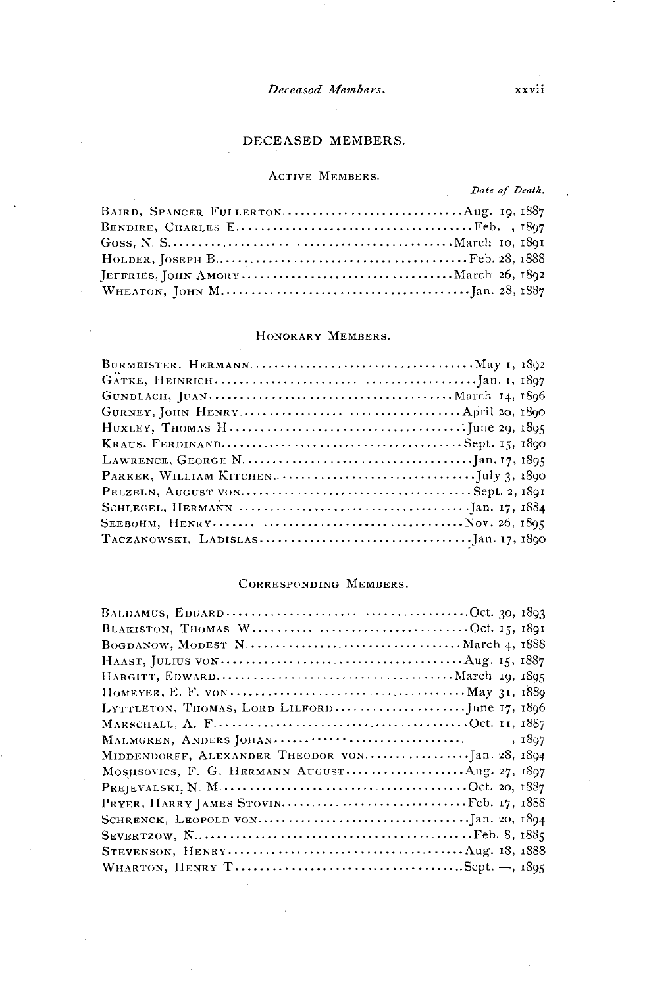#### **Deceased Members. xxvii**

#### **DECEASED MEMBERS.**

#### **ACTIVE MEMBERS.**

Date of Death.

#### **HONORARY MEMBERS.**

#### **CORRESPONDING MEMBERS.**

| HAAST, JULIUS VON $\dots \dots \dots \dots \dots \dots \dots \dots \dots \dots \dots \dots \dots \dots \dots$ |
|---------------------------------------------------------------------------------------------------------------|
|                                                                                                               |
|                                                                                                               |
|                                                                                                               |
|                                                                                                               |
| , 1897                                                                                                        |
|                                                                                                               |
| MOSJISOVICS, F. G. HERMANN AUGUST Aug. 27, 1897                                                               |
|                                                                                                               |
|                                                                                                               |
|                                                                                                               |
|                                                                                                               |
|                                                                                                               |
|                                                                                                               |
|                                                                                                               |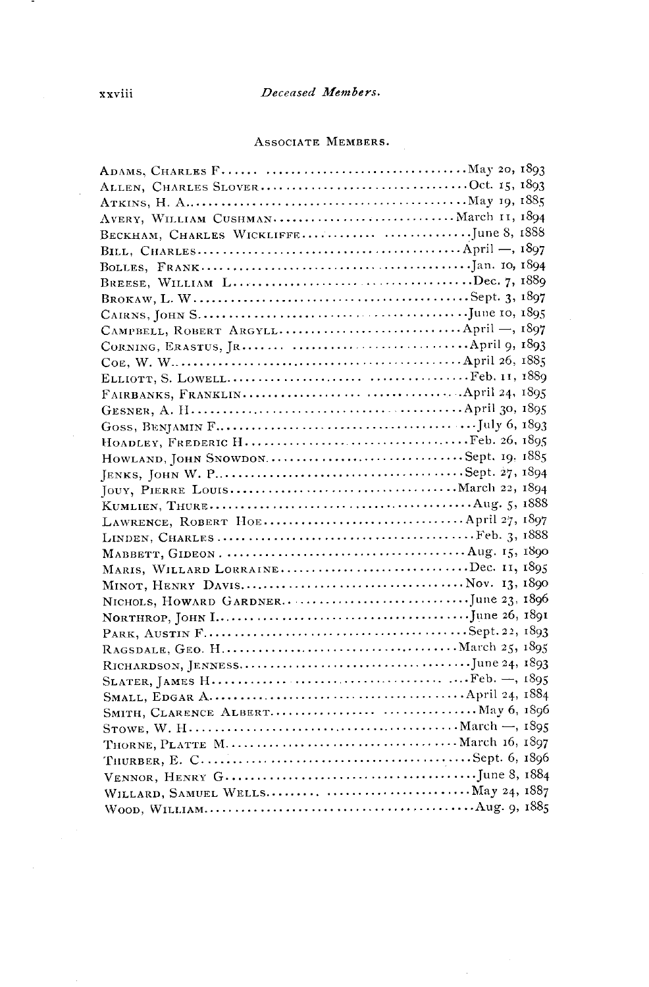#### Deceased Members.

#### ASSOCIATE MEMBERS.

| ALLEN, CHARLES SLOVEROct. 15, 1893                                                             |  |
|------------------------------------------------------------------------------------------------|--|
|                                                                                                |  |
| AVERY, WILLIAM CUSHMAN March II, 1894                                                          |  |
|                                                                                                |  |
|                                                                                                |  |
|                                                                                                |  |
| BREESE, WILLIAM LDec. 7, 1889                                                                  |  |
|                                                                                                |  |
|                                                                                                |  |
| CAMPBELL, ROBERT ARGYLL April -, 1897                                                          |  |
|                                                                                                |  |
|                                                                                                |  |
|                                                                                                |  |
|                                                                                                |  |
|                                                                                                |  |
|                                                                                                |  |
|                                                                                                |  |
|                                                                                                |  |
|                                                                                                |  |
|                                                                                                |  |
|                                                                                                |  |
|                                                                                                |  |
|                                                                                                |  |
| MABBETT, GIDEON. $\dots\dots\dots\dots\dots\dots\dots\dots\dots\dots\dots\dots A$ ug. 15, 1890 |  |
| MARIS, WILLARD LORRAINEDec. 11, 1895                                                           |  |
|                                                                                                |  |
|                                                                                                |  |
|                                                                                                |  |
|                                                                                                |  |
|                                                                                                |  |
|                                                                                                |  |
|                                                                                                |  |
|                                                                                                |  |
|                                                                                                |  |
|                                                                                                |  |
|                                                                                                |  |
|                                                                                                |  |
|                                                                                                |  |
| WILLARD, SAMUEL WELLS  May 24, 1887                                                            |  |
|                                                                                                |  |

 $\sim$ 

г.